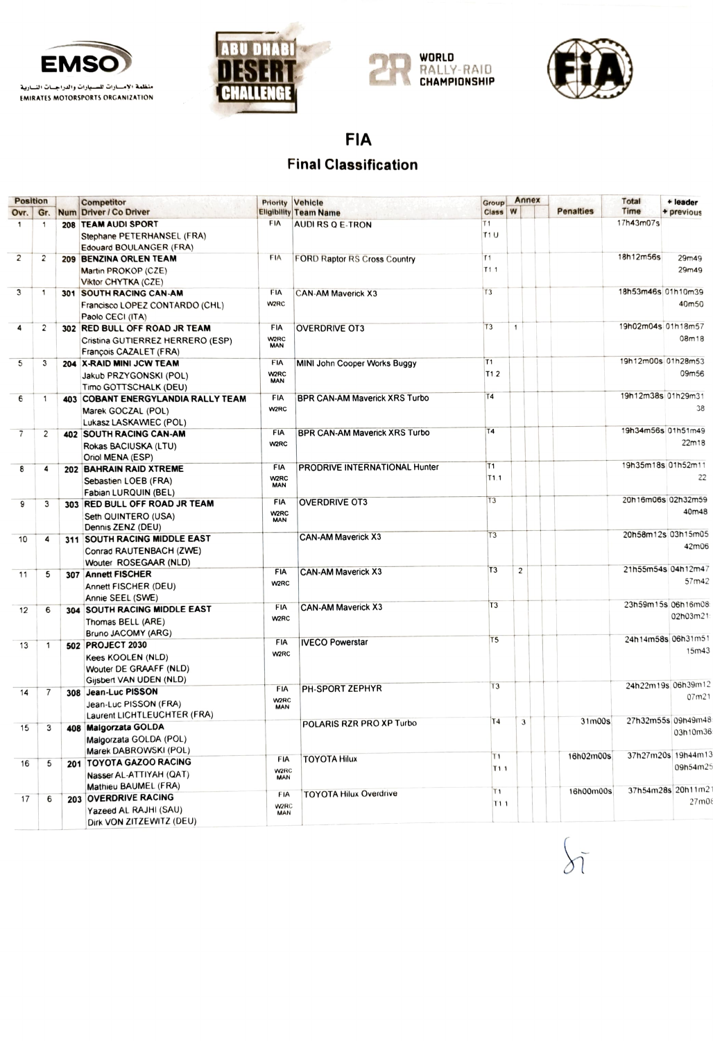







FIA

## Final Classification

| <b>Position</b>         |                | <b>Competitor</b>                                          | Priority                        | Vehicle                              | <b>Group</b>      | Annex          |                  | Total              | + leader                    |
|-------------------------|----------------|------------------------------------------------------------|---------------------------------|--------------------------------------|-------------------|----------------|------------------|--------------------|-----------------------------|
| Ovr.                    | Gr.            | Num Driver / Co Driver                                     |                                 | <b>Eligibility Team Name</b>         | <b>Class</b>      | W              | <b>Penalties</b> | Time               | + previous                  |
| 1                       |                | 208 TEAM AUDI SPORT                                        | <b>FIA</b>                      | AUDI RS Q E-TRON                     | T <sub>1</sub>    |                |                  | 17h43m07s          |                             |
|                         |                | Stephane PETERHANSEL (FRA)<br>Edouard BOULANGER (FRA)      |                                 |                                      | T1U               |                |                  |                    |                             |
| $\overline{\mathbf{c}}$ | 2              | 209 BENZINA ORLEN TEAM                                     | <b>FIA</b>                      | <b>FORD Raptor RS Cross Country</b>  | T1                |                |                  | 18h12m56s          | 29m49                       |
|                         |                | Martin PROKOP (CZE)<br>Viktor CHYTKA (CZE)                 |                                 |                                      | T <sub>1.1</sub>  |                |                  |                    | 29m49                       |
| $\overline{3}$          | 1              | 301 SOUTH RACING CAN-AM                                    | FIA                             | <b>CAN-AM Maverick X3</b>            | T3                |                |                  | 18h53m46s 01h10m39 |                             |
|                         |                | Francisco LOPEZ CONTARDO (CHL)<br>Paolo CECI (ITA)         | W2RC                            |                                      |                   |                |                  |                    | 40m50                       |
| 4                       | 2              | 302 RED BULL OFF ROAD JR TEAM                              | <b>FIA</b>                      | <b>OVERDRIVE OT3</b>                 | T3                | $\mathbf{1}$   |                  | 19h02m04s 01h18m57 |                             |
|                         |                | Cristina GUTIERREZ HERRERO (ESP)<br>François CAZALET (FRA) | W2RC<br><b>MAN</b>              |                                      |                   |                |                  |                    | 08m18                       |
| 5                       | 3              | 204 X-RAID MINI JCW TEAM                                   | <b>FIA</b>                      | <b>MINI John Cooper Works Buggy</b>  | T <sub>1</sub>    |                |                  | 19h12m00s 01h28m53 |                             |
|                         |                | Jakub PRZYGONSKI (POL)<br>Timo GOTTSCHALK (DEU)            | W2RC<br><b>MAN</b>              |                                      | T <sub>1.2</sub>  |                |                  |                    | 09m56                       |
| 6                       | 1              | 403 COBANT ENERGYLANDIA RALLY TEAM                         | FIA                             | <b>BPR CAN-AM Maverick XRS Turbo</b> | <b>T4</b>         |                |                  | 19h12m38s 01h29m31 |                             |
|                         |                | Marek GOCZAL (POL)                                         | W2RC                            |                                      |                   |                |                  |                    | 38                          |
|                         |                | Lukasz LASKAWIEC (POL)                                     |                                 |                                      |                   |                |                  |                    |                             |
| $\overline{7}$          | 2              | 402 SOUTH RACING CAN-AM                                    | <b>FIA</b>                      | <b>BPR CAN-AM Maverick XRS Turbo</b> | Τ4                |                |                  | 19h34m56s 01h51m49 |                             |
|                         |                | Rokas BACIUSKA (LTU)                                       | <b>W2RC</b>                     |                                      |                   |                |                  |                    | 22m18                       |
|                         |                | Oriol MENA (ESP)                                           |                                 |                                      |                   |                |                  |                    |                             |
| 8                       | 4              | 202 BAHRAIN RAID XTREME                                    | <b>FIA</b>                      | PRODRIVE INTERNATIONAL Hunter        | T1                |                |                  | 19h35m18s 01h52m11 |                             |
|                         |                | Sebastien LOEB (FRA)                                       | W <sub>2</sub> RC<br><b>MAN</b> |                                      | T <sub>1.1</sub>  |                |                  |                    | 22                          |
|                         |                | Fabian LURQUIN (BEL)                                       |                                 |                                      | T3                |                |                  | 20h16m06s 02h32m59 |                             |
| 9                       | 3              | 303 RED BULL OFF ROAD JR TEAM                              | <b>FIA</b>                      | <b>OVERDRIVE OT3</b>                 |                   |                |                  |                    | 40m48                       |
|                         |                | Seth QUINTERO (USA)                                        | <b>W2RC</b><br><b>MAN</b>       |                                      |                   |                |                  |                    |                             |
|                         |                | Dennis ZENZ (DEU)                                          |                                 |                                      | T <sub>3</sub>    |                |                  | 20h58m12s 03h15m05 |                             |
| 10                      | 4              | 311 SOUTH RACING MIDDLE EAST                               |                                 | <b>CAN-AM Maverick X3</b>            |                   |                |                  |                    | 42m06                       |
|                         |                | Conrad RAUTENBACH (ZWE)                                    |                                 |                                      |                   |                |                  |                    |                             |
|                         |                | Wouter ROSEGAAR (NLD)                                      | <b>FIA</b>                      | <b>CAN-AM Maverick X3</b>            | T <sub>3</sub>    | $\overline{c}$ |                  | 21h55m54s 04h12m47 |                             |
| 11                      | 5              | 307 Annett FISCHER                                         | W <sub>2</sub> RC               |                                      |                   |                |                  |                    | 57m42                       |
|                         |                | Annett FISCHER (DEU)                                       |                                 |                                      |                   |                |                  |                    |                             |
|                         |                | Annie SEEL (SWE)                                           | FIA                             | <b>CAN-AM Maverick X3</b>            | T <sub>3</sub>    |                |                  | 23h59m15s 06h16m08 |                             |
| 12                      | 6              | 304 SOUTH RACING MIDDLE EAST                               | W2RC                            |                                      |                   |                |                  |                    | 02h03m21                    |
|                         |                | Thomas BELL (ARE)                                          |                                 |                                      |                   |                |                  |                    |                             |
|                         |                | Bruno JACOMY (ARG)<br>502 PROJECT 2030                     | <b>FIA</b>                      | <b>IVECO Powerstar</b>               | T <sub>5</sub>    |                |                  | 24h14m58s 06h31m51 |                             |
| 13                      | 1              |                                                            | <b>W2RC</b>                     |                                      |                   |                |                  |                    | 15m43                       |
|                         |                | <b>Kees KOOLEN (NLD)</b><br>Wouter DE GRAAFF (NLD)         |                                 |                                      |                   |                |                  |                    |                             |
|                         |                | Gijsbert VAN UDEN (NLD)                                    |                                 |                                      |                   |                |                  |                    |                             |
| 14                      | $\overline{7}$ | 308 Jean-Luc PISSON                                        | FIA                             | <b>PH-SPORT ZEPHYR</b>               | T <sub>3</sub>    |                |                  |                    | 24h22m19s 06h39m12          |
|                         |                | Jean-Luc PISSON (FRA)                                      | <b>W2RC</b>                     |                                      |                   |                |                  |                    | 07m21                       |
|                         |                | Laurent LICHTLEUCHTER (FRA)                                | <b>MAN</b>                      |                                      |                   |                |                  |                    |                             |
| 15                      | 3              | 408 Malgorzata GOLDA                                       |                                 | POLARIS RZR PRO XP Turbo             | Τ4                | $\overline{3}$ | 31m00s           |                    | 27h32m55s 09h49m48          |
|                         |                | Malgorzata GOLDA (POL)                                     |                                 |                                      |                   |                |                  |                    | 03h10m36                    |
|                         |                | Marek DABROWSKI (POL)                                      |                                 |                                      |                   |                |                  |                    |                             |
| 16                      | 5              | 201 TOYOTA GAZOO RACING                                    | FIA                             | <b>TOYOTA Hilux</b>                  | T1                |                | 16h02m00s        |                    | 37h27m20s 19h44m13          |
|                         |                | Nasser AL-ATTIYAH (QAT)                                    | <b>W2RC</b><br><b>MAN</b>       |                                      | T <sub>1</sub> .1 |                |                  |                    | 09h54m25                    |
|                         |                | Mathieu BAUMEL (FRA)                                       |                                 |                                      |                   |                |                  |                    |                             |
| 17                      | 6              | 203 OVERDRIVE RACING                                       | FIA                             | <b>TOYOTA Hilux Overdrive</b>        | T <sub>1</sub>    |                | 16h00m00s        |                    | 37h54m28s 20h11m21<br>27m08 |
|                         |                | Yazeed AL RAJHI (SAU)                                      | W <sub>2</sub> RC<br><b>MAN</b> |                                      | T1.1              |                |                  |                    |                             |
|                         |                | Dirk VON ZITZEWITZ (DEU)                                   |                                 |                                      |                   |                |                  |                    |                             |